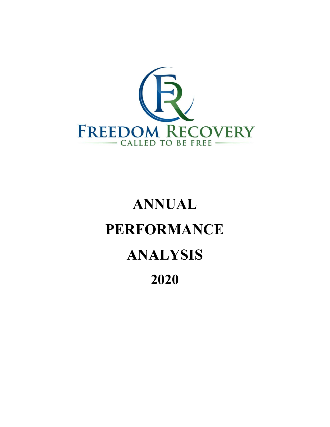

# ANNUAL PERFORMANCE ANALYSIS 2020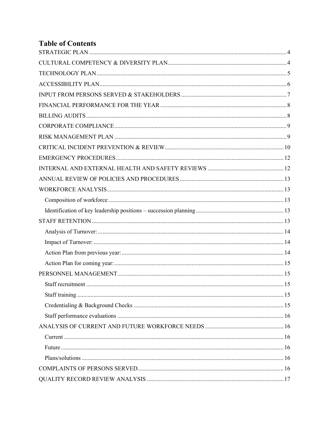## **Table of Contents**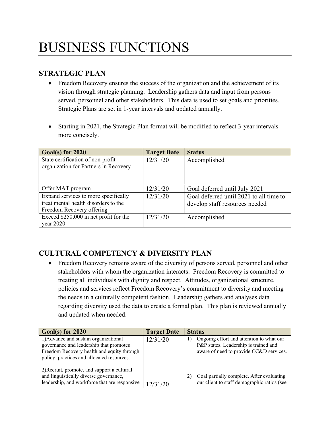## BUSINESS FUNCTIONS

## STRATEGIC PLAN

- Freedom Recovery ensures the success of the organization and the achievement of its vision through strategic planning. Leadership gathers data and input from persons served, personnel and other stakeholders. This data is used to set goals and priorities. Strategic Plans are set in 1-year intervals and updated annually.
- Starting in 2021, the Strategic Plan format will be modified to reflect 3-year intervals more concisely.

| Goal(s) for 2020                                                           | <b>Target Date</b> | <b>Status</b>                           |
|----------------------------------------------------------------------------|--------------------|-----------------------------------------|
| State certification of non-profit<br>organization for Partners in Recovery | 12/31/20           | Accomplished                            |
| Offer MAT program                                                          | 12/31/20           | Goal deferred until July 2021           |
| Expand services to more specifically                                       | 12/31/20           | Goal deferred until 2021 to all time to |
| treat mental health disorders to the                                       |                    | develop staff resources needed          |
| Freedom Recovery offering                                                  |                    |                                         |
| Exceed \$250,000 in net profit for the                                     | 12/31/20           | Accomplished                            |
| year 2020                                                                  |                    |                                         |

## CULTURAL COMPETENCY & DIVERSITY PLAN

 Freedom Recovery remains aware of the diversity of persons served, personnel and other stakeholders with whom the organization interacts. Freedom Recovery is committed to treating all individuals with dignity and respect. Attitudes, organizational structure, policies and services reflect Freedom Recovery's commitment to diversity and meeting the needs in a culturally competent fashion. Leadership gathers and analyses data regarding diversity used the data to create a formal plan. This plan is reviewed annually and updated when needed.

| Goal(s) for 2020                                                                                                                                                             | <b>Target Date</b> | <b>Status</b>                                                                                                                |
|------------------------------------------------------------------------------------------------------------------------------------------------------------------------------|--------------------|------------------------------------------------------------------------------------------------------------------------------|
| 1) Advance and sustain organizational<br>governance and leadership that promotes<br>Freedom Recovery health and equity through<br>policy, practices and allocated resources. | 12/31/20           | Ongoing effort and attention to what our<br>P&P states. Leadership is trained and<br>aware of need to provide CC&D services. |
| 2) Recruit, promote, and support a cultural<br>and linguistically diverse governance,<br>leadership, and workforce that are responsive                                       | 12/31/20           | Goal partially complete. After evaluating<br>our client to staff demographic ratios (see                                     |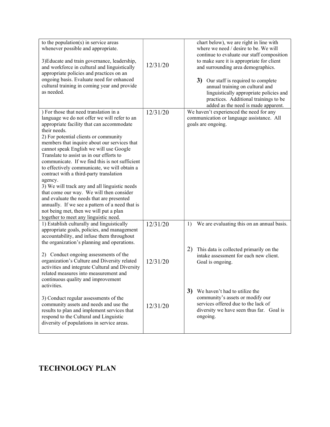| to the population(s) in service areas<br>whenever possible and appropriate.<br>3) Educate and train governance, leadership,<br>and workforce in cultural and linguistically<br>appropriate policies and practices on an<br>ongoing basis. Evaluate need for enhanced<br>cultural training in coming year and provide<br>as needed.                                                                                                                                                                                                                                                                                                                                                                                                                                          | 12/31/20             | chart below), we are right in line with<br>where we need / desire to be. We will<br>continue to evaluate our staff composition<br>to make sure it is appropriate for client<br>and surrounding area demographics.<br>3) Our staff is required to complete<br>annual training on cultural and<br>linguistically appropriate policies and<br>practices. Additional trainings to be<br>added as the need is made apparent. |
|-----------------------------------------------------------------------------------------------------------------------------------------------------------------------------------------------------------------------------------------------------------------------------------------------------------------------------------------------------------------------------------------------------------------------------------------------------------------------------------------------------------------------------------------------------------------------------------------------------------------------------------------------------------------------------------------------------------------------------------------------------------------------------|----------------------|-------------------------------------------------------------------------------------------------------------------------------------------------------------------------------------------------------------------------------------------------------------------------------------------------------------------------------------------------------------------------------------------------------------------------|
| ) For those that need translation in a<br>language we do not offer we will refer to an<br>appropriate facility that can accommodate<br>their needs.<br>2) For potential clients or community<br>members that inquire about our services that<br>cannot speak English we will use Google<br>Translate to assist us in our efforts to<br>communicate. If we find this is not sufficient<br>to effectively communicate, we will obtain a<br>contract with a third-party translation<br>agency.<br>3) We will track any and all linguistic needs<br>that come our way. We will then consider<br>and evaluate the needs that are presented<br>annually. If we see a pattern of a need that is<br>not being met, then we will put a plan<br>together to meet any linguistic need. | 12/31/20             | We haven't experienced the need for any<br>communication or language assistance. All<br>goals are ongoing.                                                                                                                                                                                                                                                                                                              |
| 1) Establish culturally and linguistically<br>appropriate goals, policies, and management<br>accountability, and infuse them throughout<br>the organization's planning and operations.<br>2) Conduct ongoing assessments of the<br>organization's Culture and Diversity related<br>activities and integrate Cultural and Diversity<br>related measures into measurement and<br>continuous quality and improvement                                                                                                                                                                                                                                                                                                                                                           | 12/31/20<br>12/31/20 | We are evaluating this on an annual basis.<br>1)<br>2)<br>This data is collected primarily on the<br>intake assessment for each new client.<br>Goal is ongoing.                                                                                                                                                                                                                                                         |
| activities.<br>3) Conduct regular assessments of the<br>community assets and needs and use the<br>results to plan and implement services that<br>respond to the Cultural and Linguistic<br>diversity of populations in service areas.                                                                                                                                                                                                                                                                                                                                                                                                                                                                                                                                       | 12/31/20             | 3)<br>We haven't had to utilize the<br>community's assets or modify our<br>services offered due to the lack of<br>diversity we have seen thus far. Goal is<br>ongoing.                                                                                                                                                                                                                                                  |

## TECHNOLOGY PLAN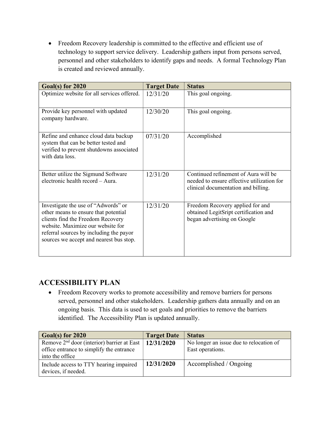Freedom Recovery leadership is committed to the effective and efficient use of technology to support service delivery. Leadership gathers input from persons served, personnel and other stakeholders to identify gaps and needs. A formal Technology Plan is created and reviewed annually.

| Goal(s) for 2020                                                                                                                                                                                                                            | <b>Target Date</b> | <b>Status</b>                                                                                                             |
|---------------------------------------------------------------------------------------------------------------------------------------------------------------------------------------------------------------------------------------------|--------------------|---------------------------------------------------------------------------------------------------------------------------|
| Optimize website for all services offered.                                                                                                                                                                                                  | 12/31/20           | This goal ongoing.                                                                                                        |
| Provide key personnel with updated<br>company hardware.                                                                                                                                                                                     | 12/30/20           | This goal ongoing.                                                                                                        |
| Refine and enhance cloud data backup<br>system that can be better tested and<br>verified to prevent shutdowns associated<br>with data loss.                                                                                                 | 07/31/20           | Accomplished                                                                                                              |
| Better utilize the Sigmund Software<br>electronic health record - Aura.                                                                                                                                                                     | 12/31/20           | Continued refinement of Aura will be<br>needed to ensure effective utilization for<br>clinical documentation and billing. |
| Investigate the use of "Adwords" or<br>other means to ensure that potential<br>clients find the Freedom Recovery<br>website. Maximize our website for<br>referral sources by including the payor<br>sources we accept and nearest bus stop. | 12/31/20           | Freedom Recovery applied for and<br>obtained LegitSript certification and<br>began advertising on Google                  |

## ACCESSIBILITY PLAN

 Freedom Recovery works to promote accessibility and remove barriers for persons served, personnel and other stakeholders. Leadership gathers data annually and on an ongoing basis. This data is used to set goals and priorities to remove the barriers identified. The Accessibility Plan is updated annually.

| Goal(s) for 2020                                          | <b>Target Date</b> | <b>Status</b>                           |
|-----------------------------------------------------------|--------------------|-----------------------------------------|
| Remove $2nd$ door (interior) barrier at East   12/31/2020 |                    | No longer an issue due to relocation of |
| office entrance to simplify the entrance                  |                    | East operations.                        |
| into the office                                           |                    |                                         |
| Include access to TTY hearing impaired                    | 12/31/2020         | Accomplished / Ongoing                  |
| devices, if needed.                                       |                    |                                         |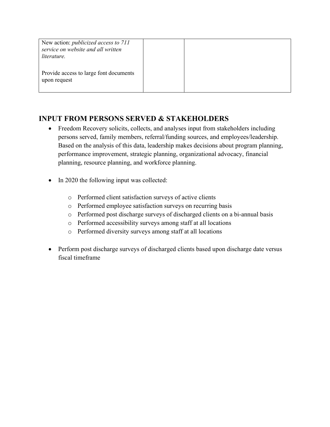| New action: <i>publicized access to 711</i><br>service on website and all written<br>literature. |  |  |
|--------------------------------------------------------------------------------------------------|--|--|
| Provide access to large font documents<br>upon request                                           |  |  |

## INPUT FROM PERSONS SERVED & STAKEHOLDERS

- Freedom Recovery solicits, collects, and analyses input from stakeholders including persons served, family members, referral/funding sources, and employees/leadership. Based on the analysis of this data, leadership makes decisions about program planning, performance improvement, strategic planning, organizational advocacy, financial planning, resource planning, and workforce planning.
- In 2020 the following input was collected:
	- o Performed client satisfaction surveys of active clients
	- o Performed employee satisfaction surveys on recurring basis
	- o Performed post discharge surveys of discharged clients on a bi-annual basis
	- o Performed accessibility surveys among staff at all locations
	- o Performed diversity surveys among staff at all locations
- Perform post discharge surveys of discharged clients based upon discharge date versus fiscal timeframe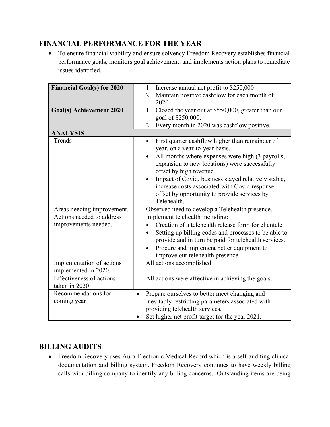## FINANCIAL PERFORMANCE FOR THE YEAR

 To ensure financial viability and ensure solvency Freedom Recovery establishes financial performance goals, monitors goal achievement, and implements action plans to remediate issues identified.

| <b>Financial Goal(s) for 2020</b> | Increase annual net profit to \$250,000<br>1.                 |
|-----------------------------------|---------------------------------------------------------------|
|                                   | Maintain positive cashflow for each month of<br>2.            |
|                                   | 2020                                                          |
| <b>Goal(s)</b> Achievement 2020   | Closed the year out at \$550,000, greater than our<br>1.      |
|                                   | goal of \$250,000.                                            |
|                                   | Every month in 2020 was cashflow positive.<br>2.              |
| <b>ANALYSIS</b>                   |                                                               |
| Trends                            | First quarter cashflow higher than remainder of<br>$\bullet$  |
|                                   | year, on a year-to-year basis.                                |
|                                   | All months where expenses were high (3 payrolls,<br>$\bullet$ |
|                                   | expansion to new locations) were successfully                 |
|                                   | offset by high revenue.                                       |
|                                   | Impact of Covid, business stayed relatively stable,<br>٠      |
|                                   | increase costs associated with Covid response                 |
|                                   | offset by opportunity to provide services by                  |
|                                   | Telehealth.                                                   |
| Areas needing improvement.        | Observed need to develop a Telehealth presence.               |
| Actions needed to address         | Implement telehealth including:                               |
| improvements needed.              | Creation of a telehealth release form for clientele           |
|                                   | Setting up billing codes and processes to be able to          |
|                                   | provide and in turn be paid for telehealth services.          |
|                                   | Procure and implement better equipment to<br>$\bullet$        |
|                                   | improve our telehealth presence.                              |
| Implementation of actions         | All actions accomplished                                      |
| implemented in 2020.              |                                                               |
| <b>Effectiveness of actions</b>   | All actions were affective in achieving the goals.            |
| taken in 2020                     |                                                               |
| Recommendations for               | Prepare ourselves to better meet changing and<br>$\bullet$    |
| coming year                       | inevitably restricting parameters associated with             |
|                                   | providing telehealth services.                                |
|                                   | Set higher net profit target for the year 2021.               |

## BILLING AUDITS

 Freedom Recovery uses Aura Electronic Medical Record which is a self-auditing clinical documentation and billing system. Freedom Recovery continues to have weekly billing calls with billing company to identify any billing concerns. Outstanding items are being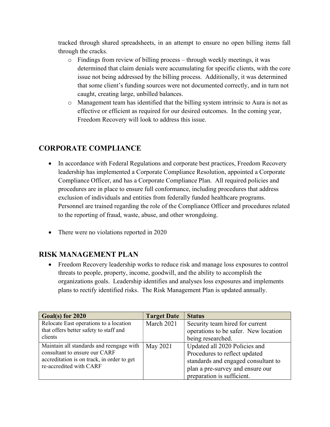tracked through shared spreadsheets, in an attempt to ensure no open billing items fall through the cracks.

- $\circ$  Findings from review of billing process through weekly meetings, it was determined that claim denials were accumulating for specific clients, with the core issue not being addressed by the billing process. Additionally, it was determined that some client's funding sources were not documented correctly, and in turn not caught, creating large, unbilled balances.
- o Management team has identified that the billing system intrinsic to Aura is not as effective or efficient as required for our desired outcomes. In the coming year, Freedom Recovery will look to address this issue.

## CORPORATE COMPLIANCE

- In accordance with Federal Regulations and corporate best practices, Freedom Recovery leadership has implemented a Corporate Compliance Resolution, appointed a Corporate Compliance Officer, and has a Corporate Compliance Plan. All required policies and procedures are in place to ensure full conformance, including procedures that address exclusion of individuals and entities from federally funded healthcare programs. Personnel are trained regarding the role of the Compliance Officer and procedures related to the reporting of fraud, waste, abuse, and other wrongdoing.
- There were no violations reported in 2020

## RISK MANAGEMENT PLAN

 Freedom Recovery leadership works to reduce risk and manage loss exposures to control threats to people, property, income, goodwill, and the ability to accomplish the organizations goals. Leadership identifies and analyses loss exposures and implements plans to rectify identified risks. The Risk Management Plan is updated annually.

| Goal(s) for 2020                           | <b>Target Date</b> | <b>Status</b>                        |
|--------------------------------------------|--------------------|--------------------------------------|
| Relocate East operations to a location     | March 2021         | Security team hired for current      |
| that offers better safety to staff and     |                    | operations to be safer. New location |
| clients                                    |                    | being researched.                    |
| Maintain all standards and reengage with   | May 2021           | Updated all 2020 Policies and        |
| consultant to ensure our CARF              |                    | Procedures to reflect updated        |
| accreditation is on track, in order to get |                    | standards and engaged consultant to  |
| re-accredited with CARF                    |                    | plan a pre-survey and ensure our     |
|                                            |                    | preparation is sufficient.           |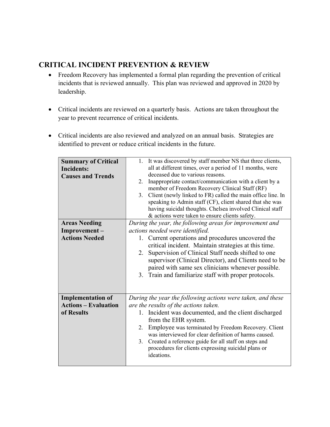## CRITICAL INCIDENT PREVENTION & REVIEW

- Freedom Recovery has implemented a formal plan regarding the prevention of critical incidents that is reviewed annually. This plan was reviewed and approved in 2020 by leadership.
- Critical incidents are reviewed on a quarterly basis. Actions are taken throughout the year to prevent recurrence of critical incidents.
- Critical incidents are also reviewed and analyzed on an annual basis. Strategies are identified to prevent or reduce critical incidents in the future.

| <b>Summary of Critical</b>  | 1. It was discovered by staff member NS that three clients,                   |
|-----------------------------|-------------------------------------------------------------------------------|
| <b>Incidents:</b>           | all at different times, over a period of 11 months, were                      |
| <b>Causes and Trends</b>    | deceased due to various reasons.                                              |
|                             | Inappropriate contact/communication with a client by a<br>2.                  |
|                             | member of Freedom Recovery Clinical Staff (RF)                                |
|                             | 3. Client (newly linked to FR) called the main office line. In                |
|                             | speaking to Admin staff (CF), client shared that she was                      |
|                             | having suicidal thoughts. Chelsea involved Clinical staff                     |
|                             | & actions were taken to ensure clients safety.                                |
| <b>Areas Needing</b>        | During the year, the following areas for improvement and                      |
| Improvement-                | actions needed were identified.                                               |
| <b>Actions Needed</b>       |                                                                               |
|                             | 1. Current operations and procedures uncovered the                            |
|                             | critical incident. Maintain strategies at this time.                          |
|                             | Supervision of Clinical Staff needs shifted to one<br>2.                      |
|                             | supervisor (Clinical Director), and Clients need to be                        |
|                             | paired with same sex clinicians whenever possible.                            |
|                             | 3. Train and familiarize staff with proper protocols.                         |
|                             |                                                                               |
|                             |                                                                               |
| <b>Implementation of</b>    | During the year the following actions were taken, and these                   |
| <b>Actions - Evaluation</b> | are the results of the actions taken.                                         |
| of Results                  |                                                                               |
|                             | 1. Incident was documented, and the client discharged<br>from the EHR system. |
|                             | Employee was terminated by Freedom Recovery. Client<br>2.                     |
|                             | was interviewed for clear definition of harms caused.                         |
|                             | Created a reference guide for all staff on steps and<br>3.                    |
|                             |                                                                               |
|                             | procedures for clients expressing suicidal plans or<br>ideations.             |
|                             |                                                                               |
|                             |                                                                               |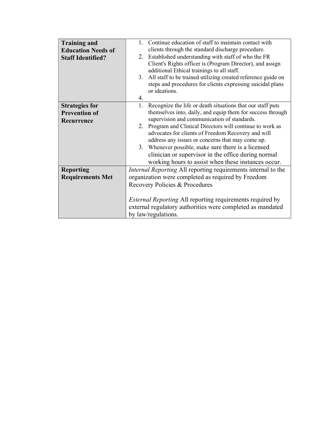| <b>Training and</b>       | 1. Continue education of staff to maintain contact with            |
|---------------------------|--------------------------------------------------------------------|
| <b>Education Needs of</b> | clients through the standard discharge procedure.                  |
| <b>Staff Identified?</b>  | 2. Established understanding with staff of who the FR              |
|                           | Client's Rights officer is (Program Director), and assign          |
|                           | additional Ethical trainings to all staff.                         |
|                           | All staff to be trained utilizing created reference guide on<br>3. |
|                           | steps and procedures for clients expressing suicidal plans         |
|                           | or ideations.                                                      |
|                           | 4.                                                                 |
| <b>Strategies for</b>     | Recognize the life or death situations that our staff puts<br>1.   |
| <b>Prevention of</b>      | themselves into, daily, and equip them for success through         |
| Recurrence                | supervision and communication of standards.                        |
|                           | Program and Clinical Directors will continue to work as<br>2.      |
|                           | advocates for clients of Freedom Recovery and will                 |
|                           | address any issues or concerns that may come up.                   |
|                           | 3. Whenever possible, make sure there is a licensed                |
|                           | clinician or supervisor in the office during normal                |
|                           | working hours to assist when these instances occur.                |
| <b>Reporting</b>          | Internal Reporting All reporting requirements internal to the      |
| <b>Requirements Met</b>   | organization were completed as required by Freedom                 |
|                           | Recovery Policies & Procedures                                     |
|                           |                                                                    |
|                           | <i>External Reporting All reporting requirements required by</i>   |
|                           | external regulatory authorities were completed as mandated         |
|                           | by law/regulations.                                                |
|                           |                                                                    |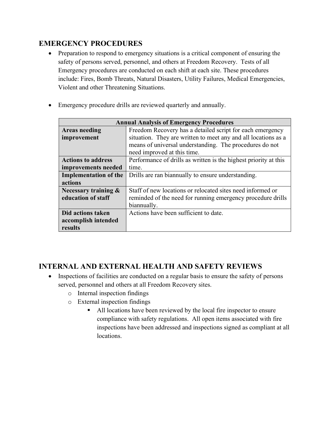## EMERGENCY PROCEDURES

- Preparation to respond to emergency situations is a critical component of ensuring the safety of persons served, personnel, and others at Freedom Recovery. Tests of all Emergency procedures are conducted on each shift at each site. These procedures include: Fires, Bomb Threats, Natural Disasters, Utility Failures, Medical Emergencies, Violent and other Threatening Situations.
- Emergency procedure drills are reviewed quarterly and annually.

| <b>Annual Analysis of Emergency Procedures</b> |                                                                  |  |
|------------------------------------------------|------------------------------------------------------------------|--|
| <b>Areas needing</b>                           | Freedom Recovery has a detailed script for each emergency        |  |
| improvement                                    | situation. They are written to meet any and all locations as a   |  |
|                                                | means of universal understanding. The procedures do not          |  |
|                                                | need improved at this time.                                      |  |
| <b>Actions to address</b>                      | Performance of drills as written is the highest priority at this |  |
| improvements needed                            | time.                                                            |  |
| <b>Implementation of the</b>                   | Drills are ran biannually to ensure understanding.               |  |
| actions                                        |                                                                  |  |
| Necessary training $\&$                        | Staff of new locations or relocated sites need informed or       |  |
| education of staff                             | reminded of the need for running emergency procedure drills      |  |
|                                                | biannually.                                                      |  |
| Did actions taken                              | Actions have been sufficient to date.                            |  |
| accomplish intended                            |                                                                  |  |
| results                                        |                                                                  |  |

## INTERNAL AND EXTERNAL HEALTH AND SAFETY REVIEWS

- Inspections of facilities are conducted on a regular basis to ensure the safety of persons served, personnel and others at all Freedom Recovery sites.
	- o Internal inspection findings
	- o External inspection findings
		- All locations have been reviewed by the local fire inspector to ensure compliance with safety regulations. All open items associated with fire inspections have been addressed and inspections signed as compliant at all locations.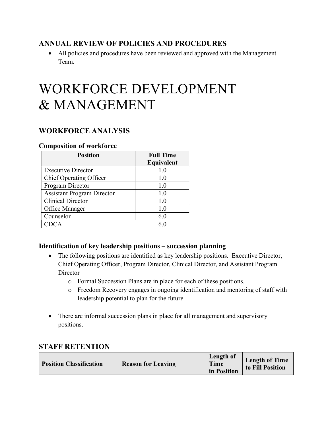## ANNUAL REVIEW OF POLICIES AND PROCEDURES

 All policies and procedures have been reviewed and approved with the Management Team.

## WORKFORCE DEVELOPMENT & MANAGEMENT

## WORKFORCE ANALYSIS

#### Composition of workforce

| <b>Position</b>                   | <b>Full Time</b> |
|-----------------------------------|------------------|
|                                   | Equivalent       |
| <b>Executive Director</b>         | 1.0              |
| <b>Chief Operating Officer</b>    | 1.0              |
| Program Director                  | 1.0              |
| <b>Assistant Program Director</b> | 1.0              |
| <b>Clinical Director</b>          | 1.0              |
| Office Manager                    | 1.0              |
| Counselor                         | 6.0              |
| DCA                               | 6 (              |

#### Identification of key leadership positions – succession planning

- The following positions are identified as key leadership positions. Executive Director, Chief Operating Officer, Program Director, Clinical Director, and Assistant Program **Director** 
	- o Formal Succession Plans are in place for each of these positions.
	- o Freedom Recovery engages in ongoing identification and mentoring of staff with leadership potential to plan for the future.
- There are informal succession plans in place for all management and supervisory positions.

### STAFF RETENTION

| <b>Position Classification</b><br><b>Reason for Leaving</b> | Length of<br>Time<br>in Position | <b>Length of Time</b><br>to Fill Position |
|-------------------------------------------------------------|----------------------------------|-------------------------------------------|
|-------------------------------------------------------------|----------------------------------|-------------------------------------------|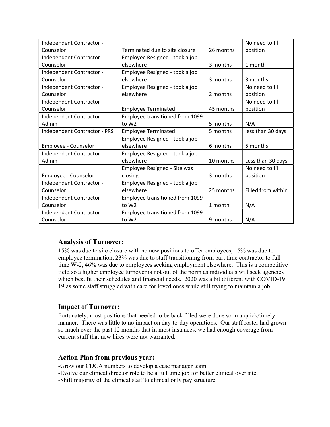| Independent Contractor -            |                                 |           | No need to fill    |
|-------------------------------------|---------------------------------|-----------|--------------------|
| Counselor                           | Terminated due to site closure  | 26 months | position           |
| Independent Contractor -            | Employee Resigned - took a job  |           |                    |
| Counselor                           | elsewhere                       | 3 months  | 1 month            |
| Independent Contractor -            | Employee Resigned - took a job  |           |                    |
| Counselor                           | elsewhere                       | 3 months  | 3 months           |
| Independent Contractor -            | Employee Resigned - took a job  |           | No need to fill    |
| Counselor                           | elsewhere                       | 2 months  | position           |
| Independent Contractor -            |                                 |           | No need to fill    |
| Counselor                           | <b>Employee Terminated</b>      | 45 months | position           |
| Independent Contractor -            | Employee transitioned from 1099 |           |                    |
| Admin                               | to W <sub>2</sub>               | 5 months  | N/A                |
| <b>Independent Contractor - PRS</b> | <b>Employee Terminated</b>      | 5 months  | less than 30 days  |
|                                     | Employee Resigned - took a job  |           |                    |
| Employee - Counselor                | elsewhere                       | 6 months  | 5 months           |
| Independent Contractor -            | Employee Resigned - took a job  |           |                    |
| Admin                               | elsewhere                       | 10 months | Less than 30 days  |
|                                     | Employee Resigned - Site was    |           | No need to fill    |
| Employee - Counselor                | closing                         | 3 months  | position           |
| Independent Contractor -            | Employee Resigned - took a job  |           |                    |
| Counselor                           | elsewhere                       | 25 months | Filled from within |
| Independent Contractor -            | Employee transitioned from 1099 |           |                    |
| Counselor                           | to W <sub>2</sub>               | 1 month   | N/A                |
| Independent Contractor -            | Employee transitioned from 1099 |           |                    |
| Counselor                           | to W <sub>2</sub>               | 9 months  | N/A                |

#### Analysis of Turnover:

15% was due to site closure with no new positions to offer employees, 15% was due to employee termination, 23% was due to staff transitioning from part time contractor to full time W-2, 46% was due to employees seeking employment elsewhere. This is a competitive field so a higher employee turnover is not out of the norm as individuals will seek agencies which best fit their schedules and financial needs. 2020 was a bit different with COVID-19 19 as some staff struggled with care for loved ones while still trying to maintain a job

#### Impact of Turnover:

Fortunately, most positions that needed to be back filled were done so in a quick/timely manner. There was little to no impact on day-to-day operations. Our staff roster had grown so much over the past 12 months that in most instances, we had enough coverage from current staff that new hires were not warranted.

#### Action Plan from previous year:

-Grow our CDCA numbers to develop a case manager team. -Evolve our clinical director role to be a full time job for better clinical over site. -Shift majority of the clinical staff to clinical only pay structure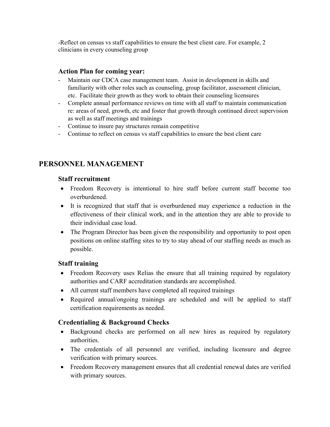-Reflect on census vs staff capabilities to ensure the best client care. For example, 2 clinicians in every counseling group

#### Action Plan for coming year:

- Maintain our CDCA case management team. Assist in development in skills and familiarity with other roles such as counseling, group facilitator, assessment clinician, etc. Facilitate their growth as they work to obtain their counseling licensures
- Complete annual performance reviews on time with all staff to maintain communication re: areas of need, growth, etc and foster that growth through continued direct supervision as well as staff meetings and trainings
- Continue to insure pay structures remain competitive
- Continue to reflect on census vs staff capabilities to ensure the best client care

## PERSONNEL MANAGEMENT

#### Staff recruitment

- Freedom Recovery is intentional to hire staff before current staff become too overburdened.
- It is recognized that staff that is overburdened may experience a reduction in the effectiveness of their clinical work, and in the attention they are able to provide to their individual case load.
- The Program Director has been given the responsibility and opportunity to post open positions on online staffing sites to try to stay ahead of our staffing needs as much as possible.

#### Staff training

- Freedom Recovery uses Relias the ensure that all training required by regulatory authorities and CARF accreditation standards are accomplished.
- All current staff members have completed all required trainings
- Required annual/ongoing trainings are scheduled and will be applied to staff certification requirements as needed.

#### Credentialing & Background Checks

- Background checks are performed on all new hires as required by regulatory authorities.
- The credentials of all personnel are verified, including licensure and degree verification with primary sources.
- Freedom Recovery management ensures that all credential renewal dates are verified with primary sources.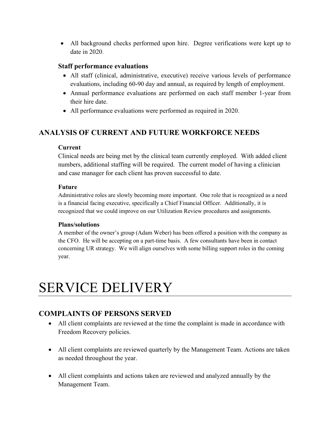All background checks performed upon hire. Degree verifications were kept up to date in 2020.

#### Staff performance evaluations

- All staff (clinical, administrative, executive) receive various levels of performance evaluations, including 60-90 day and annual, as required by length of employment.
- Annual performance evaluations are performed on each staff member 1-year from their hire date.
- All performance evaluations were performed as required in 2020.

## ANALYSIS OF CURRENT AND FUTURE WORKFORCE NEEDS

#### Current

Clinical needs are being met by the clinical team currently employed. With added client numbers, additional staffing will be required. The current model of having a clinician and case manager for each client has proven successful to date.

#### Future

Administrative roles are slowly becoming more important. One role that is recognized as a need is a financial facing executive, specifically a Chief Financial Officer. Additionally, it is recognized that we could improve on our Utilization Review procedures and assignments.

#### Plans/solutions

A member of the owner's group (Adam Weber) has been offered a position with the company as the CFO. He will be accepting on a part-time basis. A few consultants have been in contact concerning UR strategy. We will align ourselves with some billing support roles in the coming year.

## SERVICE DELIVERY

## COMPLAINTS OF PERSONS SERVED

- All client complaints are reviewed at the time the complaint is made in accordance with Freedom Recovery policies.
- All client complaints are reviewed quarterly by the Management Team. Actions are taken as needed throughout the year.
- All client complaints and actions taken are reviewed and analyzed annually by the Management Team.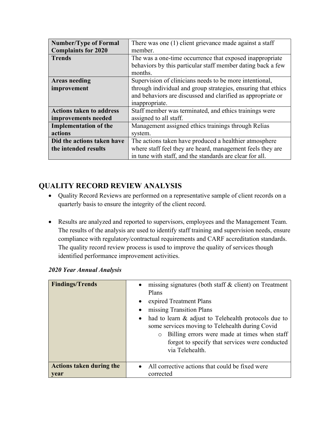| <b>Number/Type of Formal</b>    | There was one (1) client grievance made against a staff       |  |
|---------------------------------|---------------------------------------------------------------|--|
| <b>Complaints for 2020</b>      | member.                                                       |  |
| <b>Trends</b>                   | The was a one-time occurrence that exposed inappropriate      |  |
|                                 | behaviors by this particular staff member dating back a few   |  |
|                                 | months.                                                       |  |
| <b>Areas needing</b>            | Supervision of clinicians needs to be more intentional,       |  |
| improvement                     | through individual and group strategies, ensuring that ethics |  |
|                                 | and behaviors are discussed and clarified as appropriate or   |  |
|                                 | inappropriate.                                                |  |
| <b>Actions taken to address</b> | Staff member was terminated, and ethics trainings were        |  |
| improvements needed             | assigned to all staff.                                        |  |
| <b>Implementation of the</b>    | Management assigned ethics trainings through Relias           |  |
| actions                         | system.                                                       |  |
| Did the actions taken have      | The actions taken have produced a healthier atmosphere        |  |
| the intended results            | where staff feel they are heard, management feels they are    |  |
|                                 | in tune with staff, and the standards are clear for all.      |  |

## QUALITY RECORD REVIEW ANALYSIS

- Quality Record Reviews are performed on a representative sample of client records on a quarterly basis to ensure the integrity of the client record.
- Results are analyzed and reported to supervisors, employees and the Management Team. The results of the analysis are used to identify staff training and supervision needs, ensure compliance with regulatory/contractual requirements and CARF accreditation standards. The quality record review process is used to improve the quality of services though identified performance improvement activities.

| <b>Findings/Trends</b>                  | missing signatures (both staff & client) on Treatment<br>$\bullet$<br>Plans<br>expired Treatment Plans<br>$\bullet$<br>missing Transition Plans<br>$\bullet$<br>had to learn & adjust to Telehealth protocols due to<br>$\bullet$<br>some services moving to Telehealth during Covid<br>Billing errors were made at times when staff<br>$\circ$<br>forgot to specify that services were conducted<br>via Telehealth. |
|-----------------------------------------|----------------------------------------------------------------------------------------------------------------------------------------------------------------------------------------------------------------------------------------------------------------------------------------------------------------------------------------------------------------------------------------------------------------------|
| <b>Actions taken during the</b><br>year | All corrective actions that could be fixed were<br>$\bullet$<br>corrected                                                                                                                                                                                                                                                                                                                                            |

|  |  |  | 2020 Year Annual Analysis |
|--|--|--|---------------------------|
|--|--|--|---------------------------|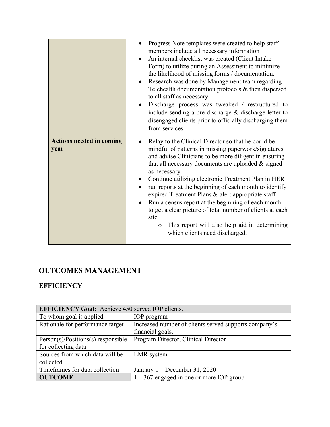|                                         | Progress Note templates were created to help staff<br>members include all necessary information<br>An internal checklist was created (Client Intake<br>Form) to utilize during an Assessment to minimize<br>the likelihood of missing forms / documentation.<br>Research was done by Management team regarding<br>Telehealth documentation protocols & then dispersed<br>to all staff as necessary<br>Discharge process was tweaked / restructured to<br>include sending a pre-discharge $&$ discharge letter to<br>disengaged clients prior to officially discharging them<br>from services.                                                          |
|-----------------------------------------|--------------------------------------------------------------------------------------------------------------------------------------------------------------------------------------------------------------------------------------------------------------------------------------------------------------------------------------------------------------------------------------------------------------------------------------------------------------------------------------------------------------------------------------------------------------------------------------------------------------------------------------------------------|
| <b>Actions needed in coming</b><br>year | Relay to the Clinical Director so that he could be<br>mindful of patterns in missing paperwork/signatures<br>and advise Clinicians to be more diligent in ensuring<br>that all necessary documents are uploaded $&$ signed<br>as necessary<br>Continue utilizing electronic Treatment Plan in HER<br>run reports at the beginning of each month to identify<br>expired Treatment Plans & alert appropriate staff<br>Run a census report at the beginning of each month<br>$\bullet$<br>to get a clear picture of total number of clients at each<br>site<br>This report will also help aid in determining<br>$\circ$<br>which clients need discharged. |

## OUTCOMES MANAGEMENT

## **EFFICIENCY**

| <b>EFFICIENCY Goal:</b> Achieve 450 served IOP clients. |                                                       |  |
|---------------------------------------------------------|-------------------------------------------------------|--|
| To whom goal is applied                                 | IOP program                                           |  |
| Rationale for performance target                        | Increased number of clients served supports company's |  |
|                                                         | financial goals.                                      |  |
| $Person(s)/Positions(s)$ responsible                    | Program Director, Clinical Director                   |  |
| for collecting data                                     |                                                       |  |
| Sources from which data will be                         | <b>EMR</b> system                                     |  |
| collected                                               |                                                       |  |
| Timeframes for data collection                          | January $1 -$ December 31, 2020                       |  |
| <b>OUTCOME</b>                                          | 367 engaged in one or more IOP group                  |  |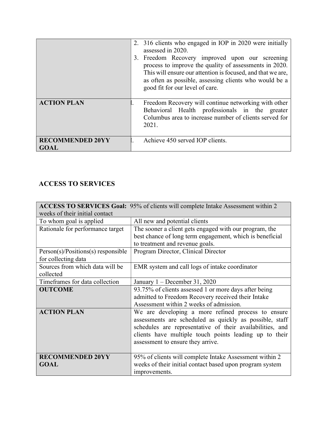|                                        | 2. 316 clients who engaged in IOP in 2020 were initially<br>assessed in 2020.<br>3. Freedom Recovery improved upon our screening<br>process to improve the quality of assessments in 2020.<br>This will ensure our attention is focused, and that we are,<br>as often as possible, assessing clients who would be a<br>good fit for our level of care. |
|----------------------------------------|--------------------------------------------------------------------------------------------------------------------------------------------------------------------------------------------------------------------------------------------------------------------------------------------------------------------------------------------------------|
| <b>ACTION PLAN</b>                     | Freedom Recovery will continue networking with other<br>Behavioral Health professionals in the greater<br>Columbus area to increase number of clients served for<br>2021.                                                                                                                                                                              |
| <b>RECOMMENDED 20YY</b><br><b>GOAL</b> | Achieve 450 served IOP clients.                                                                                                                                                                                                                                                                                                                        |

## ACCESS TO SERVICES

|                                      | ACCESS TO SERVICES Goal: 95% of clients will complete Intake Assessment within 2 |
|--------------------------------------|----------------------------------------------------------------------------------|
| weeks of their initial contact       |                                                                                  |
| To whom goal is applied              | All new and potential clients                                                    |
| Rationale for performance target     | The sooner a client gets engaged with our program, the                           |
|                                      | best chance of long term engagement, which is beneficial                         |
|                                      | to treatment and revenue goals.                                                  |
| $Person(s)/Positions(s)$ responsible | Program Director, Clinical Director                                              |
| for collecting data                  |                                                                                  |
| Sources from which data will be      | EMR system and call logs of intake coordinator                                   |
| collected                            |                                                                                  |
| Timeframes for data collection       | January 1 - December 31, 2020                                                    |
| <b>OUTCOME</b>                       | 93.75% of clients assessed 1 or more days after being                            |
|                                      | admitted to Freedom Recovery received their Intake                               |
|                                      | Assessment within 2 weeks of admission.                                          |
| <b>ACTION PLAN</b>                   | We are developing a more refined process to ensure                               |
|                                      | assessments are scheduled as quickly as possible, staff                          |
|                                      | schedules are representative of their availabilities, and                        |
|                                      | clients have multiple touch points leading up to their                           |
|                                      | assessment to ensure they arrive.                                                |
|                                      |                                                                                  |
| <b>RECOMMENDED 20YY</b>              | 95% of clients will complete Intake Assessment within 2                          |
| <b>GOAL</b>                          | weeks of their initial contact based upon program system                         |
|                                      | improvements.                                                                    |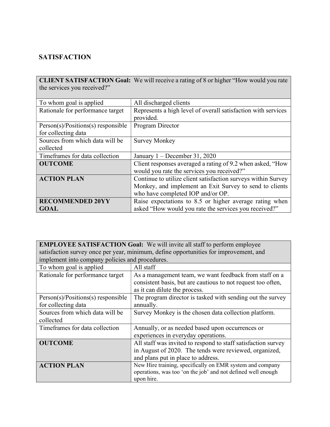## **SATISFACTION**

|                                      | <b>CLIENT SATISFACTION Goal:</b> We will receive a rating of 8 or higher "How would you rate |
|--------------------------------------|----------------------------------------------------------------------------------------------|
| the services you received?"          |                                                                                              |
|                                      |                                                                                              |
| To whom goal is applied              | All discharged clients                                                                       |
| Rationale for performance target     | Represents a high level of overall satisfaction with services                                |
|                                      | provided.                                                                                    |
| $Person(s)/Positions(s)$ responsible | Program Director                                                                             |
| for collecting data                  |                                                                                              |
| Sources from which data will be      | <b>Survey Monkey</b>                                                                         |
| collected                            |                                                                                              |
| Timeframes for data collection       | January $1 -$ December 31, 2020                                                              |
| <b>OUTCOME</b>                       | Client responses averaged a rating of 9.2 when asked, "How                                   |
|                                      | would you rate the services you received?"                                                   |
| <b>ACTION PLAN</b>                   | Continue to utilize client satisfaction surveys within Survey                                |
|                                      | Monkey, and implement an Exit Survey to send to clients                                      |
|                                      | who have completed IOP and/or OP.                                                            |
| <b>RECOMMENDED 20YY</b>              | Raise expectations to 8.5 or higher average rating when                                      |
| <b>GOAL</b>                          | asked "How would you rate the services you received?"                                        |

EMPLOYEE SATISFACTION Goal: We will invite all staff to perform employee satisfaction survey once per year, minimum, define opportunities for improvement, and implement into company policies and procedures.

| To whom goal is applied              | All staff                                                     |
|--------------------------------------|---------------------------------------------------------------|
| Rationale for performance target     | As a management team, we want feedback from staff on a        |
|                                      | consistent basis, but are cautious to not request too often,  |
|                                      | as it can dilute the process.                                 |
| $Person(s)/Positions(s)$ responsible | The program director is tasked with sending out the survey    |
| for collecting data                  | annually.                                                     |
| Sources from which data will be      | Survey Monkey is the chosen data collection platform.         |
| collected                            |                                                               |
| Timeframes for data collection       | Annually, or as needed based upon occurrences or              |
|                                      | experiences in everyday operations.                           |
| <b>OUTCOME</b>                       | All staff was invited to respond to staff satisfaction survey |
|                                      | in August of 2020. The tends were reviewed, organized,        |
|                                      | and plans put in place to address.                            |
| <b>ACTION PLAN</b>                   | New Hire training, specifically on EMR system and company     |
|                                      | operations, was too 'on the job' and not defined well enough  |
|                                      | upon hire.                                                    |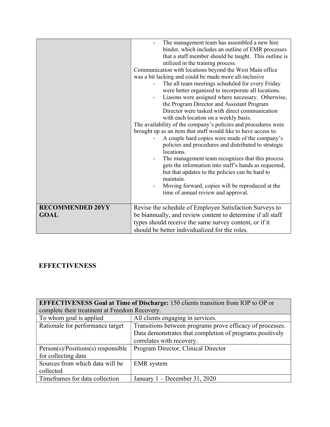|                                        | The management team has assembled a new hire<br>binder, which includes an outline of EMR processes<br>that a staff member should be taught. This outline is<br>utilized in the training process.<br>Communication with locations beyond the West Main office<br>was a bit lacking and could be made more all-inclusive<br>The all team meetings scheduled for every Friday<br>were better organized to incorporate all locations.<br>Liasons were assigned where necessary. Otherwise,<br>the Program Director and Assistant Program<br>Director were tasked with direct communication<br>with each location on a weekly basis.<br>The availability of the company's policies and procedures were<br>brought up as an item that staff would like to have access to.<br>A couple hard copies were made of the company's<br>policies and procedures and distributed to strategic<br>locations.<br>The management team recognizes that this process<br>gets the information into staff's hands as requested,<br>but that updates to the policies can be hard to<br>maintain.<br>Moving forward, copies will be reproduced at the<br>time of annual review and approval. |
|----------------------------------------|----------------------------------------------------------------------------------------------------------------------------------------------------------------------------------------------------------------------------------------------------------------------------------------------------------------------------------------------------------------------------------------------------------------------------------------------------------------------------------------------------------------------------------------------------------------------------------------------------------------------------------------------------------------------------------------------------------------------------------------------------------------------------------------------------------------------------------------------------------------------------------------------------------------------------------------------------------------------------------------------------------------------------------------------------------------------------------------------------------------------------------------------------------------------|
| <b>RECOMMENDED 20YY</b><br><b>GOAL</b> | Revise the schedule of Employee Satisfaction Surveys to<br>be biannually, and review content to determine if all staff<br>types should receive the same survey content, or if it<br>should be better individualized for the roles.                                                                                                                                                                                                                                                                                                                                                                                                                                                                                                                                                                                                                                                                                                                                                                                                                                                                                                                                   |

## **EFFECTIVENESS**

| <b>EFFECTIVENESS Goal at Time of Discharge: 150 clients transition from IOP to OP or</b> |                                                           |  |
|------------------------------------------------------------------------------------------|-----------------------------------------------------------|--|
| complete their treatment at Freedom Recovery.                                            |                                                           |  |
| To whom goal is applied                                                                  | All clients engaging in services.                         |  |
| Rationale for performance target                                                         | Transitions between programs prove efficacy of processes. |  |
|                                                                                          | Data demonstrates that completion of programs positively  |  |
|                                                                                          | correlates with recovery.                                 |  |
| $Person(s)/Positions(s)$ responsible                                                     | Program Director, Clinical Director                       |  |
| for collecting data                                                                      |                                                           |  |
| Sources from which data will be                                                          | <b>EMR</b> system                                         |  |
| collected                                                                                |                                                           |  |
| Timeframes for data collection                                                           | January $1 -$ December 31, 2020                           |  |